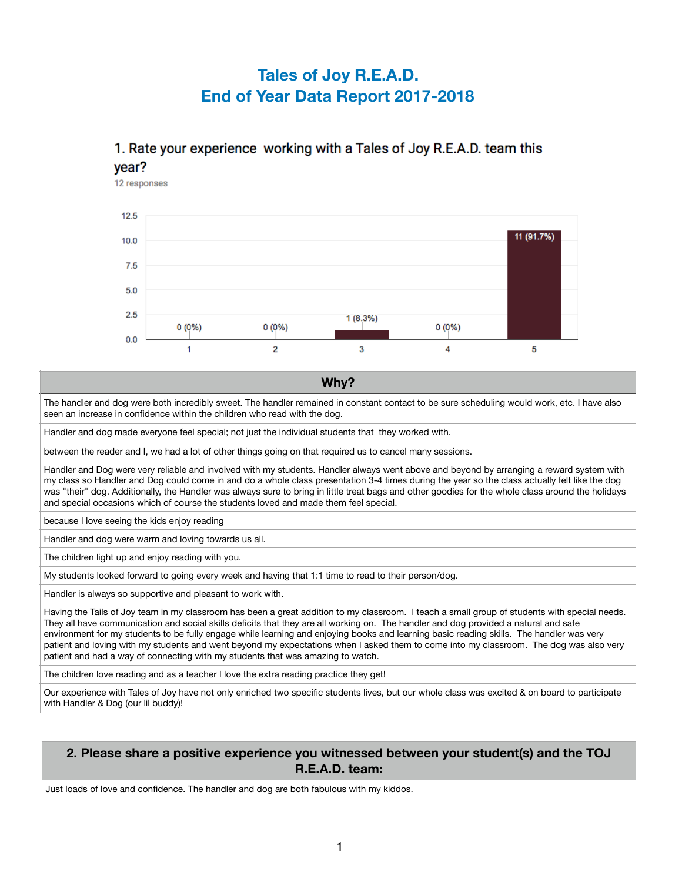# **Tales of Joy R.E.A.D. End of Year Data Report 2017-2018**

## 1. Rate your experience working with a Tales of Joy R.E.A.D. team this vear?

12 responses



#### **Why?**

The handler and dog were both incredibly sweet. The handler remained in constant contact to be sure scheduling would work, etc. I have also seen an increase in confidence within the children who read with the dog.

Handler and dog made everyone feel special; not just the individual students that they worked with.

between the reader and I, we had a lot of other things going on that required us to cancel many sessions.

Handler and Dog were very reliable and involved with my students. Handler always went above and beyond by arranging a reward system with my class so Handler and Dog could come in and do a whole class presentation 3-4 times during the year so the class actually felt like the dog was "their" dog. Additionally, the Handler was always sure to bring in little treat bags and other goodies for the whole class around the holidays and special occasions which of course the students loved and made them feel special.

because I love seeing the kids enjoy reading

Handler and dog were warm and loving towards us all.

The children light up and enjoy reading with you.

My students looked forward to going every week and having that 1:1 time to read to their person/dog.

Handler is always so supportive and pleasant to work with.

Having the Tails of Joy team in my classroom has been a great addition to my classroom. I teach a small group of students with special needs. They all have communication and social skills deficits that they are all working on. The handler and dog provided a natural and safe environment for my students to be fully engage while learning and enjoying books and learning basic reading skills. The handler was very patient and loving with my students and went beyond my expectations when I asked them to come into my classroom. The dog was also very patient and had a way of connecting with my students that was amazing to watch.

The children love reading and as a teacher I love the extra reading practice they get!

Our experience with Tales of Joy have not only enriched two specific students lives, but our whole class was excited & on board to participate with Handler & Dog (our lil buddy)!

#### **2. Please share a positive experience you witnessed between your student(s) and the TOJ R.E.A.D. team:**

Just loads of love and confidence. The handler and dog are both fabulous with my kiddos.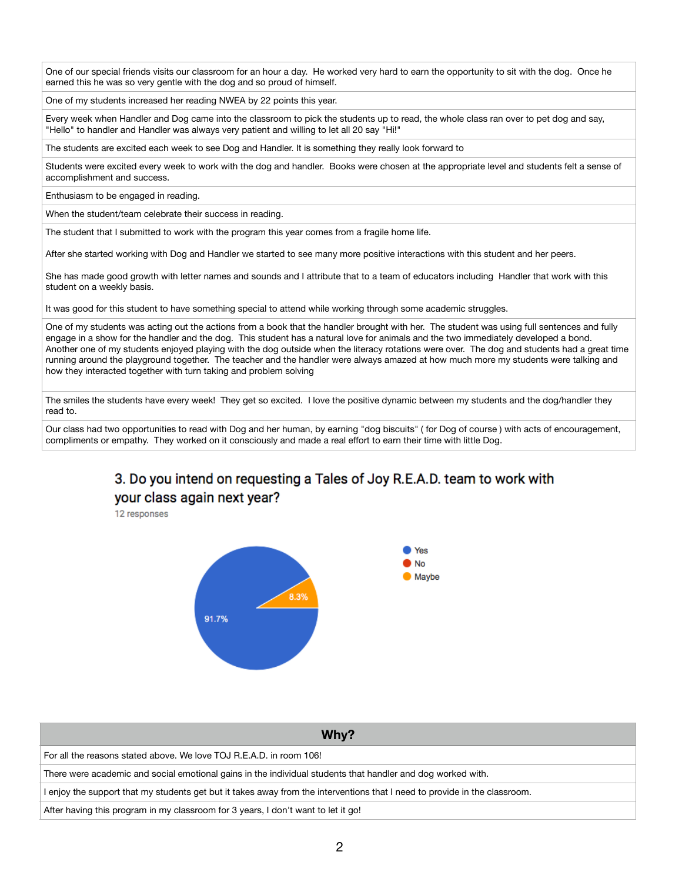One of our special friends visits our classroom for an hour a day. He worked very hard to earn the opportunity to sit with the dog. Once he earned this he was so very gentle with the dog and so proud of himself.

One of my students increased her reading NWEA by 22 points this year.

Every week when Handler and Dog came into the classroom to pick the students up to read, the whole class ran over to pet dog and say, "Hello" to handler and Handler was always very patient and willing to let all 20 say "Hi!"

The students are excited each week to see Dog and Handler. It is something they really look forward to

Students were excited every week to work with the dog and handler. Books were chosen at the appropriate level and students felt a sense of accomplishment and success.

Enthusiasm to be engaged in reading.

When the student/team celebrate their success in reading.

The student that I submitted to work with the program this year comes from a fragile home life.

After she started working with Dog and Handler we started to see many more positive interactions with this student and her peers.

She has made good growth with letter names and sounds and I attribute that to a team of educators including Handler that work with this student on a weekly basis.

It was good for this student to have something special to attend while working through some academic struggles.

One of my students was acting out the actions from a book that the handler brought with her. The student was using full sentences and fully engage in a show for the handler and the dog. This student has a natural love for animals and the two immediately developed a bond. Another one of my students enjoyed playing with the dog outside when the literacy rotations were over. The dog and students had a great time running around the playground together. The teacher and the handler were always amazed at how much more my students were talking and how they interacted together with turn taking and problem solving

The smiles the students have every week! They get so excited. I love the positive dynamic between my students and the dog/handler they read to.

Our class had two opportunities to read with Dog and her human, by earning "dog biscuits" ( for Dog of course ) with acts of encouragement, compliments or empathy. They worked on it consciously and made a real effort to earn their time with little Dog.

## 3. Do you intend on requesting a Tales of Joy R.E.A.D. team to work with your class again next year?

12 responses



| Why?                                                                                                                       |
|----------------------------------------------------------------------------------------------------------------------------|
| For all the reasons stated above. We love TOJ R.E.A.D. in room 106!                                                        |
| There were academic and social emotional gains in the individual students that handler and dog worked with.                |
| I enjoy the support that my students get but it takes away from the interventions that I need to provide in the classroom. |
| After having this program in my classroom for 3 years, I don't want to let it go!                                          |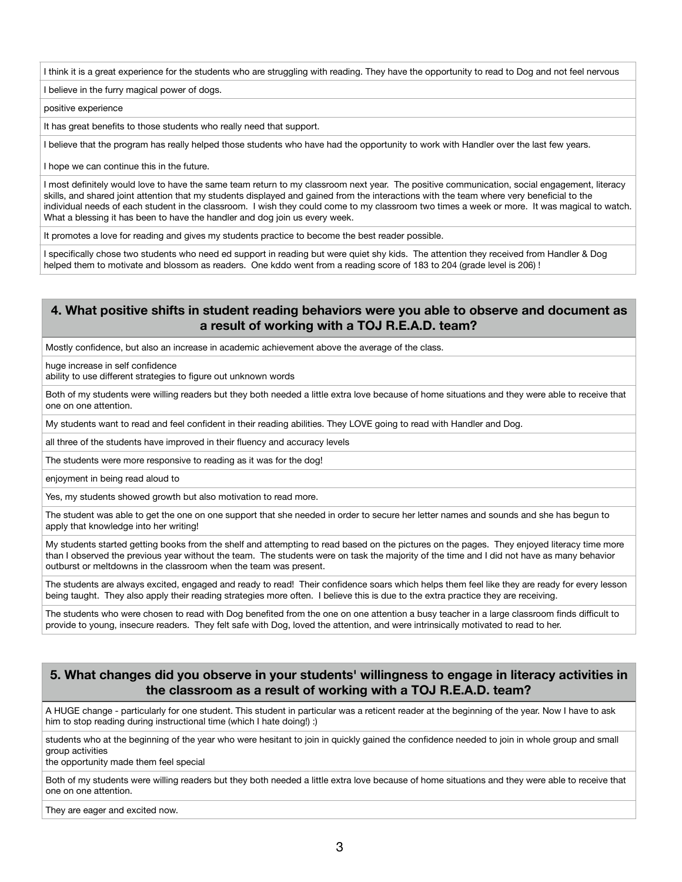I think it is a great experience for the students who are struggling with reading. They have the opportunity to read to Dog and not feel nervous

I believe in the furry magical power of dogs.

positive experience

It has great benefits to those students who really need that support.

I believe that the program has really helped those students who have had the opportunity to work with Handler over the last few years.

I hope we can continue this in the future.

I most definitely would love to have the same team return to my classroom next year. The positive communication, social engagement, literacy skills, and shared joint attention that my students displayed and gained from the interactions with the team where very beneficial to the individual needs of each student in the classroom. I wish they could come to my classroom two times a week or more. It was magical to watch. What a blessing it has been to have the handler and dog join us every week.

It promotes a love for reading and gives my students practice to become the best reader possible.

I specifically chose two students who need ed support in reading but were quiet shy kids. The attention they received from Handler & Dog helped them to motivate and blossom as readers. One kddo went from a reading score of 183 to 204 (grade level is 206) !

#### **4. What positive shifts in student reading behaviors were you able to observe and document as a result of working with a TOJ R.E.A.D. team?**

Mostly confidence, but also an increase in academic achievement above the average of the class.

huge increase in self confidence

ability to use different strategies to figure out unknown words

Both of my students were willing readers but they both needed a little extra love because of home situations and they were able to receive that one on one attention.

My students want to read and feel confident in their reading abilities. They LOVE going to read with Handler and Dog.

all three of the students have improved in their fluency and accuracy levels

The students were more responsive to reading as it was for the dog!

enjoyment in being read aloud to

Yes, my students showed growth but also motivation to read more.

The student was able to get the one on one support that she needed in order to secure her letter names and sounds and she has begun to apply that knowledge into her writing!

My students started getting books from the shelf and attempting to read based on the pictures on the pages. They enjoyed literacy time more than I observed the previous year without the team. The students were on task the majority of the time and I did not have as many behavior outburst or meltdowns in the classroom when the team was present.

The students are always excited, engaged and ready to read! Their confidence soars which helps them feel like they are ready for every lesson being taught. They also apply their reading strategies more often. I believe this is due to the extra practice they are receiving.

The students who were chosen to read with Dog benefited from the one on one attention a busy teacher in a large classroom finds difficult to provide to young, insecure readers. They felt safe with Dog, loved the attention, and were intrinsically motivated to read to her.

### **5. What changes did you observe in your students' willingness to engage in literacy activities in the classroom as a result of working with a TOJ R.E.A.D. team?**

A HUGE change - particularly for one student. This student in particular was a reticent reader at the beginning of the year. Now I have to ask him to stop reading during instructional time (which I hate doing!) :)

students who at the beginning of the year who were hesitant to join in quickly gained the confidence needed to join in whole group and small group activities

the opportunity made them feel special

Both of my students were willing readers but they both needed a little extra love because of home situations and they were able to receive that one on one attention.

They are eager and excited now.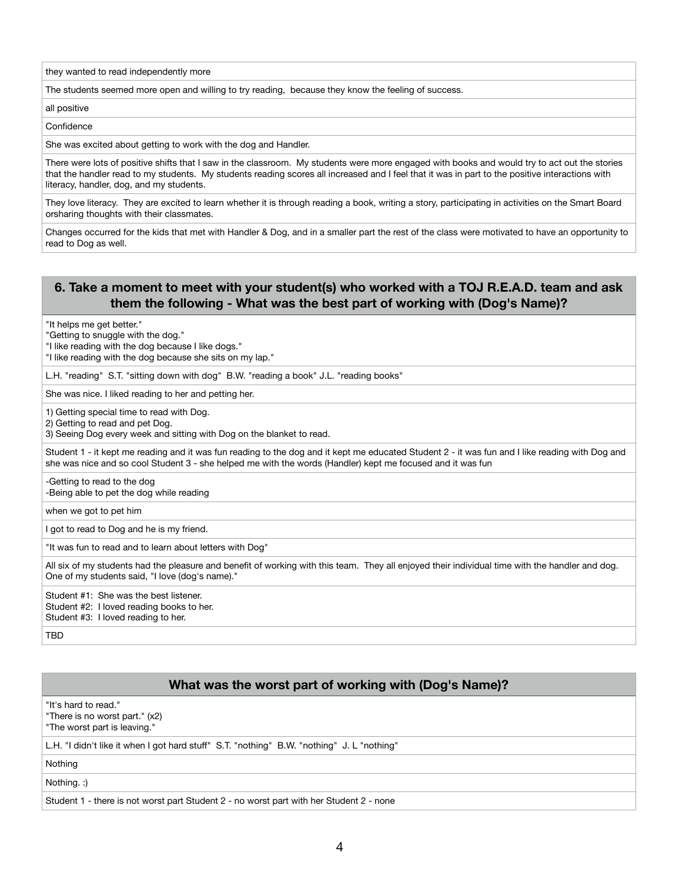they wanted to read independently more

The students seemed more open and willing to try reading, because they know the feeling of success.

all positive

**Confidence** 

She was excited about getting to work with the dog and Handler.

There were lots of positive shifts that I saw in the classroom. My students were more engaged with books and would try to act out the stories that the handler read to my students. My students reading scores all increased and I feel that it was in part to the positive interactions with literacy, handler, dog, and my students.

They love literacy. They are excited to learn whether it is through reading a book, writing a story, participating in activities on the Smart Board orsharing thoughts with their classmates.

Changes occurred for the kids that met with Handler & Dog, and in a smaller part the rest of the class were motivated to have an opportunity to read to Dog as well.

#### **6. Take a moment to meet with your student(s) who worked with a TOJ R.E.A.D. team and ask them the following - What was the best part of working with (Dog's Name)?**

"It helps me get better."

"Getting to snuggle with the dog."

"I like reading with the dog because I like dogs."

"I like reading with the dog because she sits on my lap."

L.H. "reading" S.T. "sitting down with dog" B.W. "reading a book" J.L. "reading books"

She was nice. I liked reading to her and petting her.

1) Getting special time to read with Dog.

2) Getting to read and pet Dog.

3) Seeing Dog every week and sitting with Dog on the blanket to read.

Student 1 - it kept me reading and it was fun reading to the dog and it kept me educated Student 2 - it was fun and I like reading with Dog and she was nice and so cool Student 3 - she helped me with the words (Handler) kept me focused and it was fun

-Getting to read to the dog -Being able to pet the dog while reading

when we got to pet him

I got to read to Dog and he is my friend.

"It was fun to read and to learn about letters with Dog"

All six of my students had the pleasure and benefit of working with this team. They all enjoyed their individual time with the handler and dog. One of my students said, "I love (dog's name)."

Student #1: She was the best listener. Student #2: I loved reading books to her. Student #3: I loved reading to her.

TBD

#### **What was the worst part of working with (Dog's Name)?**

"It's hard to read."

"There is no worst part." (x2) "The worst part is leaving."

L.H. "I didn't like it when I got hard stuff" S.T. "nothing" B.W. "nothing" J. L "nothing"

Nothing

Nothing. :)

Student 1 - there is not worst part Student 2 - no worst part with her Student 2 - none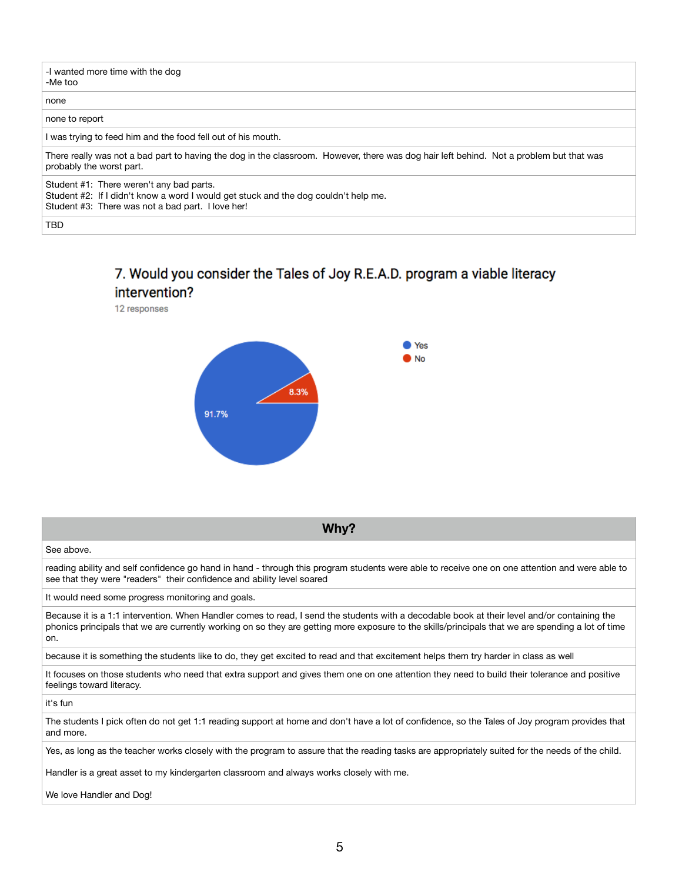| -I wanted more time with the dog<br>-Me too                                                                                                                                          |
|--------------------------------------------------------------------------------------------------------------------------------------------------------------------------------------|
| none                                                                                                                                                                                 |
| none to report                                                                                                                                                                       |
| I was trying to feed him and the food fell out of his mouth.                                                                                                                         |
| There really was not a bad part to having the dog in the classroom. However, there was dog hair left behind. Not a problem but that was<br>probably the worst part.                  |
| Student #1: There weren't any bad parts.<br>Student #2: If I didn't know a word I would get stuck and the dog couldn't help me.<br>Student #3: There was not a bad part. I love her! |
| <b>TBD</b>                                                                                                                                                                           |

### 7. Would you consider the Tales of Joy R.E.A.D. program a viable literacy intervention?

12 responses



See above.

reading ability and self confidence go hand in hand - through this program students were able to receive one on one attention and were able to see that they were "readers" their confidence and ability level soared

**Why?**

It would need some progress monitoring and goals.

Because it is a 1:1 intervention. When Handler comes to read, I send the students with a decodable book at their level and/or containing the phonics principals that we are currently working on so they are getting more exposure to the skills/principals that we are spending a lot of time on.

because it is something the students like to do, they get excited to read and that excitement helps them try harder in class as well

It focuses on those students who need that extra support and gives them one on one attention they need to build their tolerance and positive feelings toward literacy.

it's fun

The students I pick often do not get 1:1 reading support at home and don't have a lot of confidence, so the Tales of Joy program provides that and more.

Yes, as long as the teacher works closely with the program to assure that the reading tasks are appropriately suited for the needs of the child.

Handler is a great asset to my kindergarten classroom and always works closely with me.

We love Handler and Dog!